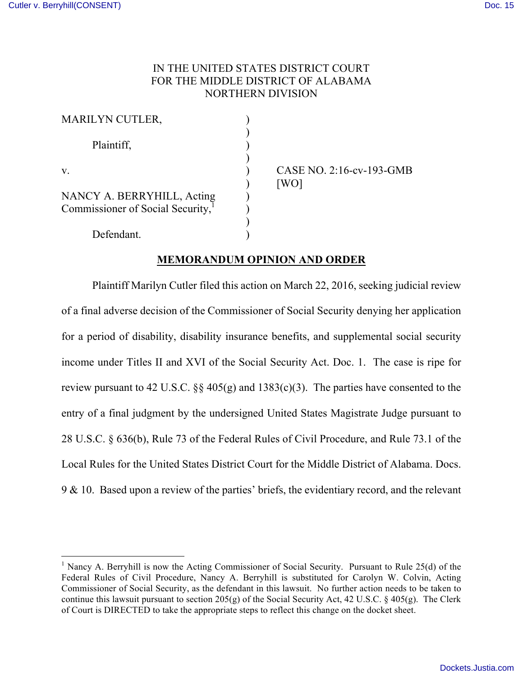# IN THE UNITED STATES DISTRICT COURT FOR THE MIDDLE DISTRICT OF ALABAMA NORTHERN DIVISION

| <b>MARILYN CUTLER,</b>                                                      |  |
|-----------------------------------------------------------------------------|--|
| Plaintiff,                                                                  |  |
| V.                                                                          |  |
| NANCY A. BERRYHILL, Acting<br>Commissioner of Social Security, <sup>1</sup> |  |
| Defendant.                                                                  |  |

 $\text{CASE NO. 2:16-cv-193-GMB}$  $[WO]$ 

# **MEMORANDUM OPINION AND ORDER**

Plaintiff Marilyn Cutler filed this action on March 22, 2016, seeking judicial review of a final adverse decision of the Commissioner of Social Security denying her application for a period of disability, disability insurance benefits, and supplemental social security income under Titles II and XVI of the Social Security Act. Doc. 1. The case is ripe for review pursuant to 42 U.S.C.  $\S$  405(g) and 1383(c)(3). The parties have consented to the entry of a final judgment by the undersigned United States Magistrate Judge pursuant to 28 U.S.C. § 636(b), Rule 73 of the Federal Rules of Civil Procedure, and Rule 73.1 of the Local Rules for the United States District Court for the Middle District of Alabama. Docs. 9 & 10. Based upon a review of the parties' briefs, the evidentiary record, and the relevant

<sup>&</sup>lt;sup>1</sup> Nancy A. Berryhill is now the Acting Commissioner of Social Security. Pursuant to Rule  $25(d)$  of the Federal Rules of Civil Procedure, Nancy A. Berryhill is substituted for Carolyn W. Colvin, Acting Commissioner of Social Security, as the defendant in this lawsuit. No further action needs to be taken to continue this lawsuit pursuant to section  $205(g)$  of the Social Security Act, 42 U.S.C. § 405(g). The Clerk of Court is DIRECTED to take the appropriate steps to reflect this change on the docket sheet.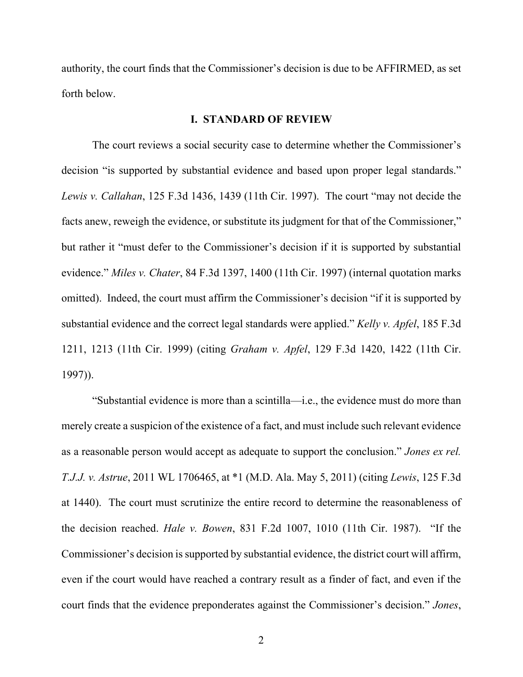authority, the court finds that the Commissioner's decision is due to be AFFIRMED, as set forth below.

#### **I. STANDARD OF REVIEW**

The court reviews a social security case to determine whether the Commissioner's decision "is supported by substantial evidence and based upon proper legal standards." *Lewis v. Callahan*, 125 F.3d 1436, 1439 (11th Cir. 1997). The court "may not decide the facts anew, reweigh the evidence, or substitute its judgment for that of the Commissioner," but rather it "must defer to the Commissioner's decision if it is supported by substantial evidence." *Miles v. Chater*, 84 F.3d 1397, 1400 (11th Cir. 1997) (internal quotation marks omitted). Indeed, the court must affirm the Commissioner's decision "if it is supported by substantial evidence and the correct legal standards were applied." *Kelly v. Apfel*, 185 F.3d 1211, 1213 (11th Cir. 1999) (citing *Graham v. Apfel*, 129 F.3d 1420, 1422 (11th Cir. 1997)).

"Substantial evidence is more than a scintilla—i.e., the evidence must do more than merely create a suspicion of the existence of a fact, and must include such relevant evidence as a reasonable person would accept as adequate to support the conclusion." *Jones ex rel. T.J.J. v. Astrue*, 2011 WL 1706465, at \*1 (M.D. Ala. May 5, 2011) (citing *Lewis*, 125 F.3d at 1440). The court must scrutinize the entire record to determine the reasonableness of the decision reached. *Hale v. Bowen*, 831 F.2d 1007, 1010 (11th Cir. 1987). "If the Commissioner's decision is supported by substantial evidence, the district court will affirm, even if the court would have reached a contrary result as a finder of fact, and even if the court finds that the evidence preponderates against the Commissioner's decision." *Jones*,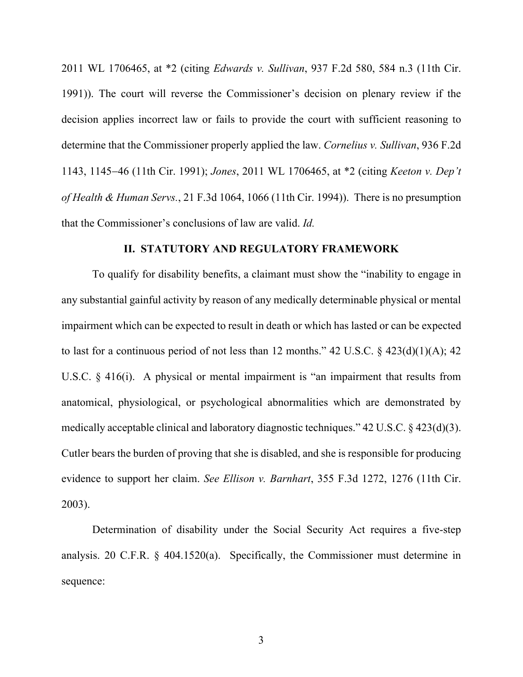2011 WL 1706465, at \*2 (citing *Edwards v. Sullivan*, 937 F.2d 580, 584 n.3 (11th Cir. 1991)). The court will reverse the Commissioner's decision on plenary review if the decision applies incorrect law or fails to provide the court with sufficient reasoning to determine that the Commissioner properly applied the law. *Cornelius v. Sullivan*, 936 F.2d 1143, 1145-46 (11th Cir. 1991); *Jones*, 2011 WL 1706465, at \*2 (citing *Keeton v. Dep't of Health & Human Servs.*, 21 F.3d 1064, 1066 (11th Cir. 1994)). There is no presumption that the Commissioner's conclusions of law are valid. *Id.*

#### **II. STATUTORY AND REGULATORY FRAMEWORK**

To qualify for disability benefits, a claimant must show the "inability to engage in any substantial gainful activity by reason of any medically determinable physical or mental impairment which can be expected to result in death or which has lasted or can be expected to last for a continuous period of not less than 12 months."  $42 \text{ U.S.C. }$  §  $423(d)(1)(A)$ ;  $42$ U.S.C. § 416(i). A physical or mental impairment is "an impairment that results from anatomical, physiological, or psychological abnormalities which are demonstrated by medically acceptable clinical and laboratory diagnostic techniques." 42 U.S.C. § 423(d)(3). Cutler bears the burden of proving that she is disabled, and she is responsible for producing evidence to support her claim. *See Ellison v. Barnhart*, 355 F.3d 1272, 1276 (11th Cir. 2003).

Determination of disability under the Social Security Act requires a five-step analysis. 20 C.F.R. § 404.1520(a). Specifically, the Commissioner must determine in sequence: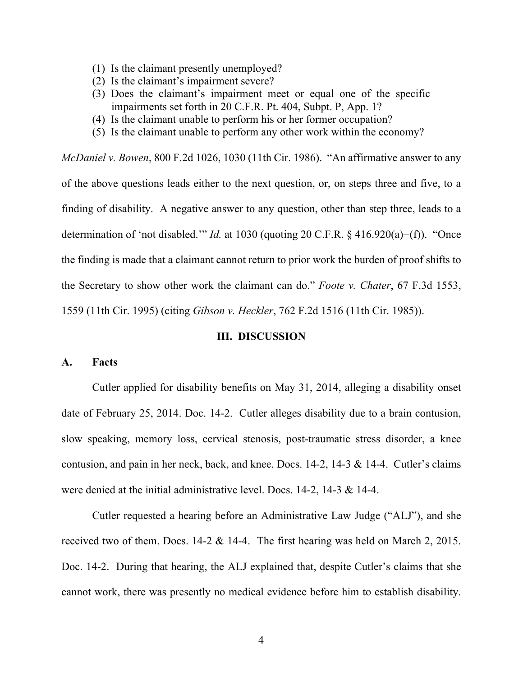- (1) Is the claimant presently unemployed?
- (2) Is the claimant's impairment severe?
- (3) Does the claimant's impairment meet or equal one of the specific impairments set forth in 20 C.F.R. Pt. 404, Subpt. P, App. 1?
- (4) Is the claimant unable to perform his or her former occupation?
- (5) Is the claimant unable to perform any other work within the economy?

*McDaniel v. Bowen*, 800 F.2d 1026, 1030 (11th Cir. 1986). "An affirmative answer to any of the above questions leads either to the next question, or, on steps three and five, to a finding of disability. A negative answer to any question, other than step three, leads to a determination of 'not disabled.'" *Id.* at 1030 (quoting 20 C.F.R. § 416.920(a)−(f)). "Once the finding is made that a claimant cannot return to prior work the burden of proof shifts to the Secretary to show other work the claimant can do." *Foote v. Chater*, 67 F.3d 1553, 1559 (11th Cir. 1995) (citing *Gibson v. Heckler*, 762 F.2d 1516 (11th Cir. 1985)).

#### **III. DISCUSSION**

### **A. Facts**

Cutler applied for disability benefits on May 31, 2014, alleging a disability onset date of February 25, 2014. Doc. 14-2. Cutler alleges disability due to a brain contusion, slow speaking, memory loss, cervical stenosis, post-traumatic stress disorder, a knee contusion, and pain in her neck, back, and knee. Docs. 14-2, 14-3 & 14-4. Cutler's claims were denied at the initial administrative level. Docs. 14-2, 14-3 & 14-4.

Cutler requested a hearing before an Administrative Law Judge ("ALJ"), and she received two of them. Docs. 14-2 & 14-4. The first hearing was held on March 2, 2015. Doc. 14-2. During that hearing, the ALJ explained that, despite Cutler's claims that she cannot work, there was presently no medical evidence before him to establish disability.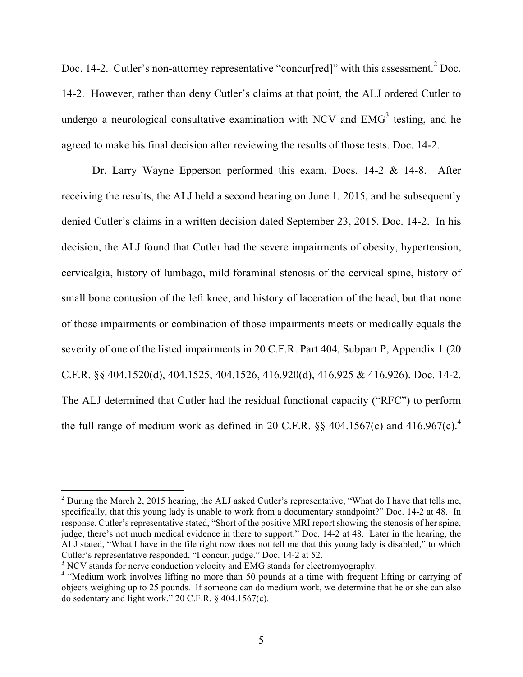Doc. 14-2. Cutler's non-attorney representative "concur[red]" with this assessment.<sup>2</sup> Doc. 14-2. However, rather than deny Cutler's claims at that point, the ALJ ordered Cutler to undergo a neurological consultative examination with NCV and  $EMG<sup>3</sup>$  testing, and he agreed to make his final decision after reviewing the results of those tests. Doc. 14-2.

Dr. Larry Wayne Epperson performed this exam. Docs. 14-2 & 14-8. After receiving the results, the ALJ held a second hearing on June 1, 2015, and he subsequently denied Cutler's claims in a written decision dated September 23, 2015. Doc. 14-2. In his decision, the ALJ found that Cutler had the severe impairments of obesity, hypertension, cervicalgia, history of lumbago, mild foraminal stenosis of the cervical spine, history of small bone contusion of the left knee, and history of laceration of the head, but that none of those impairments or combination of those impairments meets or medically equals the severity of one of the listed impairments in 20 C.F.R. Part 404, Subpart P, Appendix 1 (20 C.F.R. §§ 404.1520(d), 404.1525, 404.1526, 416.920(d), 416.925 & 416.926). Doc. 14-2. The ALJ determined that Cutler had the residual functional capacity ("RFC") to perform the full range of medium work as defined in 20 C.F.R.  $\S$ § 404.1567(c) and 416.967(c).<sup>4</sup>

 $2$  During the March 2, 2015 hearing, the ALJ asked Cutler's representative, "What do I have that tells me, specifically, that this young lady is unable to work from a documentary standpoint?" Doc. 14-2 at 48. In response, Cutler's representative stated, "Short of the positive MRI report showing the stenosis of her spine, judge, there's not much medical evidence in there to support." Doc. 14-2 at 48. Later in the hearing, the ALJ stated, "What I have in the file right now does not tell me that this young lady is disabled," to which Cutler's representative responded, "I concur, judge." Doc. 14-2 at 52.

<sup>&</sup>lt;sup>3</sup> NCV stands for nerve conduction velocity and EMG stands for electromyography.

<sup>&</sup>lt;sup>4</sup> "Medium work involves lifting no more than 50 pounds at a time with frequent lifting or carrying of objects weighing up to 25 pounds. If someone can do medium work, we determine that he or she can also do sedentary and light work." 20 C.F.R. § 404.1567(c).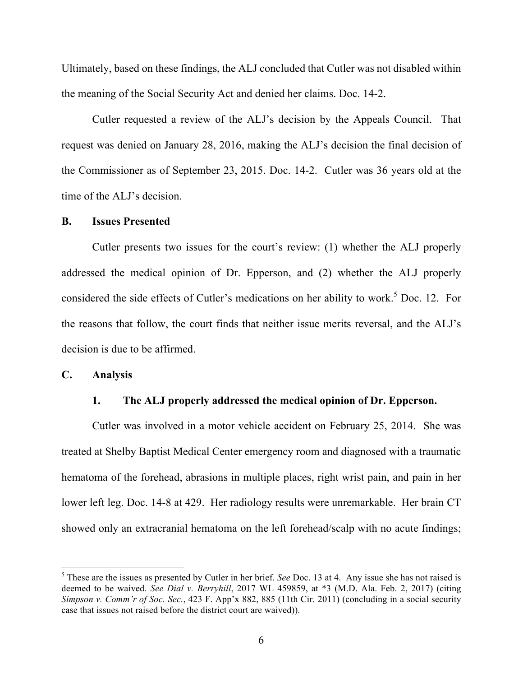Ultimately, based on these findings, the ALJ concluded that Cutler was not disabled within the meaning of the Social Security Act and denied her claims. Doc. 14-2.

Cutler requested a review of the ALJ's decision by the Appeals Council. That request was denied on January 28, 2016, making the ALJ's decision the final decision of the Commissioner as of September 23, 2015. Doc. 14-2. Cutler was 36 years old at the time of the ALJ's decision.

### **B. Issues Presented**

Cutler presents two issues for the court's review: (1) whether the ALJ properly addressed the medical opinion of Dr. Epperson, and (2) whether the ALJ properly considered the side effects of Cutler's medications on her ability to work. <sup>5</sup> Doc. 12. For the reasons that follow, the court finds that neither issue merits reversal, and the ALJ's decision is due to be affirmed.

#### **C. Analysis**

### **1. The ALJ properly addressed the medical opinion of Dr. Epperson.**

Cutler was involved in a motor vehicle accident on February 25, 2014. She was treated at Shelby Baptist Medical Center emergency room and diagnosed with a traumatic hematoma of the forehead, abrasions in multiple places, right wrist pain, and pain in her lower left leg. Doc. 14-8 at 429. Her radiology results were unremarkable. Her brain CT showed only an extracranial hematoma on the left forehead/scalp with no acute findings;

 <sup>5</sup> These are the issues as presented by Cutler in her brief. *See* Doc. 13 at 4. Any issue she has not raised is deemed to be waived. *See Dial v. Berryhill*, 2017 WL 459859, at \*3 (M.D. Ala. Feb. 2, 2017) (citing *Simpson v. Comm'r of Soc. Sec.*, 423 F. App'x 882, 885 (11th Cir. 2011) (concluding in a social security case that issues not raised before the district court are waived)).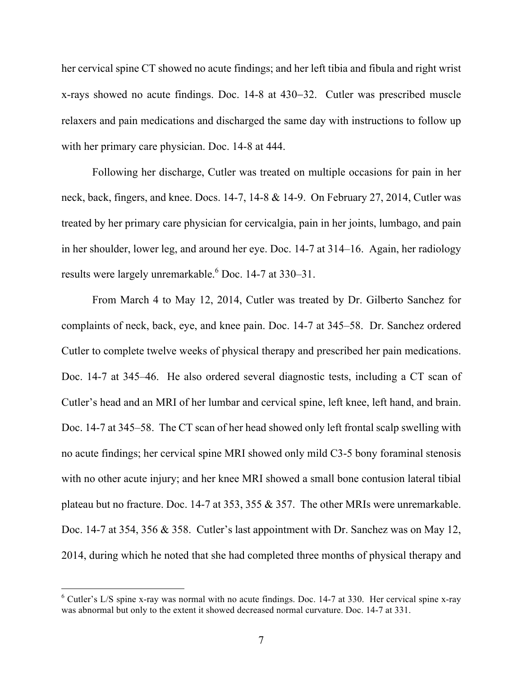her cervical spine CT showed no acute findings; and her left tibia and fibula and right wrist x-rays showed no acute findings. Doc. 14-8 at 430-32. Cutler was prescribed muscle relaxers and pain medications and discharged the same day with instructions to follow up with her primary care physician. Doc. 14-8 at 444.

Following her discharge, Cutler was treated on multiple occasions for pain in her neck, back, fingers, and knee. Docs. 14-7, 14-8 & 14-9. On February 27, 2014, Cutler was treated by her primary care physician for cervicalgia, pain in her joints, lumbago, and pain in her shoulder, lower leg, and around her eye. Doc. 14-7 at 314–16. Again, her radiology results were largely unremarkable.<sup>6</sup> Doc. 14-7 at 330–31.

From March 4 to May 12, 2014, Cutler was treated by Dr. Gilberto Sanchez for complaints of neck, back, eye, and knee pain. Doc. 14-7 at 345–58. Dr. Sanchez ordered Cutler to complete twelve weeks of physical therapy and prescribed her pain medications. Doc. 14-7 at 345–46. He also ordered several diagnostic tests, including a CT scan of Cutler's head and an MRI of her lumbar and cervical spine, left knee, left hand, and brain. Doc. 14-7 at 345–58. The CT scan of her head showed only left frontal scalp swelling with no acute findings; her cervical spine MRI showed only mild C3-5 bony foraminal stenosis with no other acute injury; and her knee MRI showed a small bone contusion lateral tibial plateau but no fracture. Doc. 14-7 at 353, 355 & 357. The other MRIs were unremarkable. Doc. 14-7 at 354, 356 & 358. Cutler's last appointment with Dr. Sanchez was on May 12, 2014, during which he noted that she had completed three months of physical therapy and

 $6$  Cutler's L/S spine x-ray was normal with no acute findings. Doc. 14-7 at 330. Her cervical spine x-ray was abnormal but only to the extent it showed decreased normal curvature. Doc. 14-7 at 331.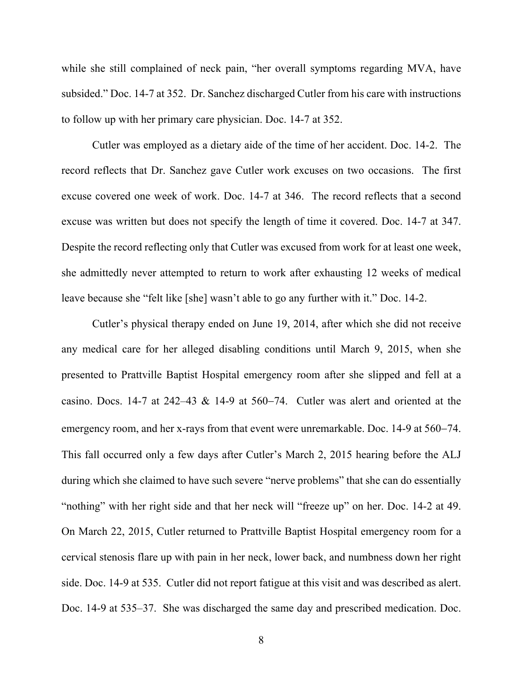while she still complained of neck pain, "her overall symptoms regarding MVA, have subsided." Doc. 14-7 at 352. Dr. Sanchez discharged Cutler from his care with instructions to follow up with her primary care physician. Doc. 14-7 at 352.

Cutler was employed as a dietary aide of the time of her accident. Doc. 14-2. The record reflects that Dr. Sanchez gave Cutler work excuses on two occasions. The first excuse covered one week of work. Doc. 14-7 at 346. The record reflects that a second excuse was written but does not specify the length of time it covered. Doc. 14-7 at 347. Despite the record reflecting only that Cutler was excused from work for at least one week, she admittedly never attempted to return to work after exhausting 12 weeks of medical leave because she "felt like [she] wasn't able to go any further with it." Doc. 14-2.

Cutler's physical therapy ended on June 19, 2014, after which she did not receive any medical care for her alleged disabling conditions until March 9, 2015, when she presented to Prattville Baptist Hospital emergency room after she slipped and fell at a casino. Docs. 14-7 at 242–43 & 14-9 at 560-74. Cutler was alert and oriented at the emergency room, and her x-rays from that event were unremarkable. Doc. 14-9 at 560–74. This fall occurred only a few days after Cutler's March 2, 2015 hearing before the ALJ during which she claimed to have such severe "nerve problems" that she can do essentially "nothing" with her right side and that her neck will "freeze up" on her. Doc. 14-2 at 49. On March 22, 2015, Cutler returned to Prattville Baptist Hospital emergency room for a cervical stenosis flare up with pain in her neck, lower back, and numbness down her right side. Doc. 14-9 at 535. Cutler did not report fatigue at this visit and was described as alert. Doc. 14-9 at 535–37. She was discharged the same day and prescribed medication. Doc.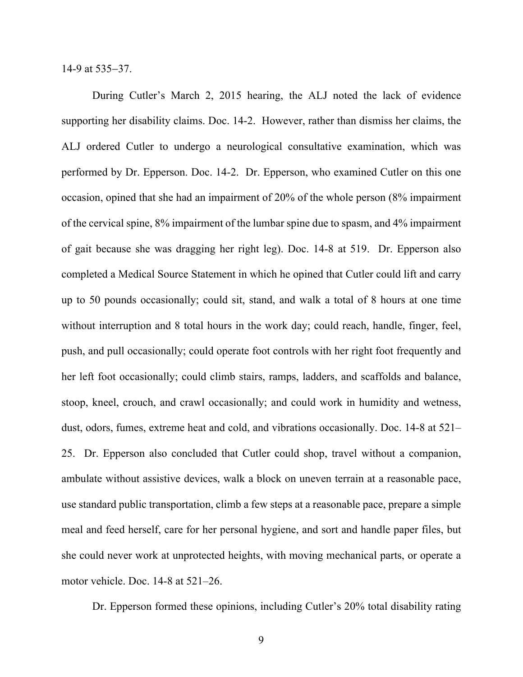14-9 at 535-37.

During Cutler's March 2, 2015 hearing, the ALJ noted the lack of evidence supporting her disability claims. Doc. 14-2. However, rather than dismiss her claims, the ALJ ordered Cutler to undergo a neurological consultative examination, which was performed by Dr. Epperson. Doc. 14-2. Dr. Epperson, who examined Cutler on this one occasion, opined that she had an impairment of 20% of the whole person (8% impairment of the cervical spine, 8% impairment of the lumbar spine due to spasm, and 4% impairment of gait because she was dragging her right leg). Doc. 14-8 at 519. Dr. Epperson also completed a Medical Source Statement in which he opined that Cutler could lift and carry up to 50 pounds occasionally; could sit, stand, and walk a total of 8 hours at one time without interruption and 8 total hours in the work day; could reach, handle, finger, feel, push, and pull occasionally; could operate foot controls with her right foot frequently and her left foot occasionally; could climb stairs, ramps, ladders, and scaffolds and balance, stoop, kneel, crouch, and crawl occasionally; and could work in humidity and wetness, dust, odors, fumes, extreme heat and cold, and vibrations occasionally. Doc. 14-8 at 521– 25. Dr. Epperson also concluded that Cutler could shop, travel without a companion, ambulate without assistive devices, walk a block on uneven terrain at a reasonable pace, use standard public transportation, climb a few steps at a reasonable pace, prepare a simple meal and feed herself, care for her personal hygiene, and sort and handle paper files, but she could never work at unprotected heights, with moving mechanical parts, or operate a motor vehicle. Doc. 14-8 at 521–26.

Dr. Epperson formed these opinions, including Cutler's 20% total disability rating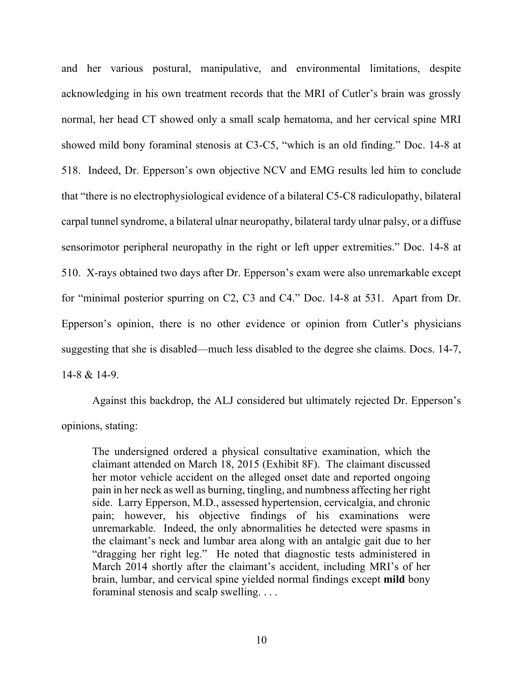and her various postural, manipulative, and environmental limitations, despite acknowledging in his own treatment records that the MRI of Cutler's brain was grossly normal, her head CT showed only a small scalp hematoma, and her cervical spine MRI showed mild bony foraminal stenosis at C3-C5, "which is an old finding." Doc. 14-8 at 518. Indeed, Dr. Epperson's own objective NCV and EMG results led him to conclude that "there is no electrophysiological evidence of a bilateral C5-C8 radiculopathy, bilateral carpal tunnel syndrome, a bilateral ulnar neuropathy, bilateral tardy ulnar palsy, or a diffuse sensorimotor peripheral neuropathy in the right or left upper extremities." Doc. 14-8 at 510. X-rays obtained two days after Dr. Epperson's exam were also unremarkable except for "minimal posterior spurring on C2, C3 and C4." Doc. 14-8 at 531. Apart from Dr. Epperson's opinion, there is no other evidence or opinion from Cutler's physicians suggesting that she is disabled—much less disabled to the degree she claims. Docs. 14-7, 14-8 & 14-9.

Against this backdrop, the ALJ considered but ultimately rejected Dr. Epperson's opinions, stating:

The undersigned ordered a physical consultative examination, which the claimant attended on March 18, 2015 (Exhibit 8F). The claimant discussed her motor vehicle accident on the alleged onset date and reported ongoing pain in her neck as well as burning, tingling, and numbness affecting her right side. Larry Epperson, M.D., assessed hypertension, cervicalgia, and chronic pain; however, his objective findings of his examinations were unremarkable. Indeed, the only abnormalities he detected were spasms in the claimant's neck and lumbar area along with an antalgic gait due to her "dragging her right leg." He noted that diagnostic tests administered in March 2014 shortly after the claimant's accident, including MRI's of her brain, lumbar, and cervical spine yielded normal findings except **mild** bony foraminal stenosis and scalp swelling. . . .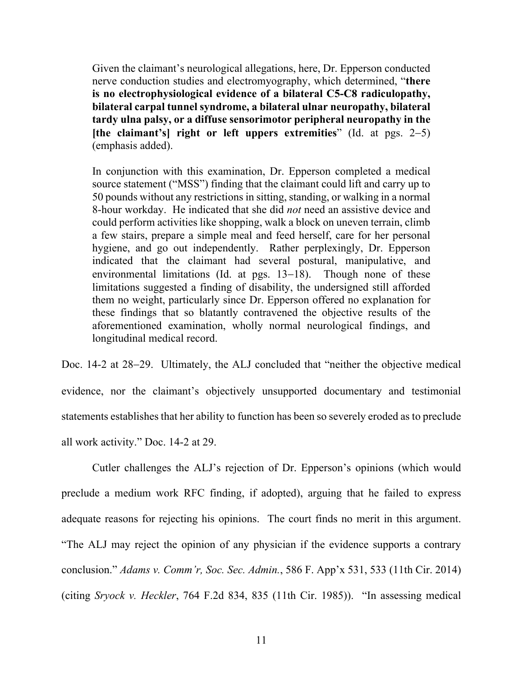Given the claimant's neurological allegations, here, Dr. Epperson conducted nerve conduction studies and electromyography, which determined, "**there is no electrophysiological evidence of a bilateral C5-C8 radiculopathy, bilateral carpal tunnel syndrome, a bilateral ulnar neuropathy, bilateral tardy ulna palsy, or a diffuse sensorimotor peripheral neuropathy in the [the claimant's] right or left uppers extremities**" (Id. at pgs. 2-5) (emphasis added).

In conjunction with this examination, Dr. Epperson completed a medical source statement ("MSS") finding that the claimant could lift and carry up to 50 pounds without any restrictions in sitting, standing, or walking in a normal 8-hour workday. He indicated that she did *not* need an assistive device and could perform activities like shopping, walk a block on uneven terrain, climb a few stairs, prepare a simple meal and feed herself, care for her personal hygiene, and go out independently. Rather perplexingly, Dr. Epperson indicated that the claimant had several postural, manipulative, and environmental limitations (Id. at pgs. 13–18). Though none of these limitations suggested a finding of disability, the undersigned still afforded them no weight, particularly since Dr. Epperson offered no explanation for these findings that so blatantly contravened the objective results of the aforementioned examination, wholly normal neurological findings, and longitudinal medical record.

Doc. 14-2 at 28-29. Ultimately, the ALJ concluded that "neither the objective medical evidence, nor the claimant's objectively unsupported documentary and testimonial statements establishes that her ability to function has been so severely eroded as to preclude all work activity." Doc. 14-2 at 29.

Cutler challenges the ALJ's rejection of Dr. Epperson's opinions (which would preclude a medium work RFC finding, if adopted), arguing that he failed to express adequate reasons for rejecting his opinions. The court finds no merit in this argument. "The ALJ may reject the opinion of any physician if the evidence supports a contrary conclusion." *Adams v. Comm'r, Soc. Sec. Admin.*, 586 F. App'x 531, 533 (11th Cir. 2014) (citing *Sryock v. Heckler*, 764 F.2d 834, 835 (11th Cir. 1985)). "In assessing medical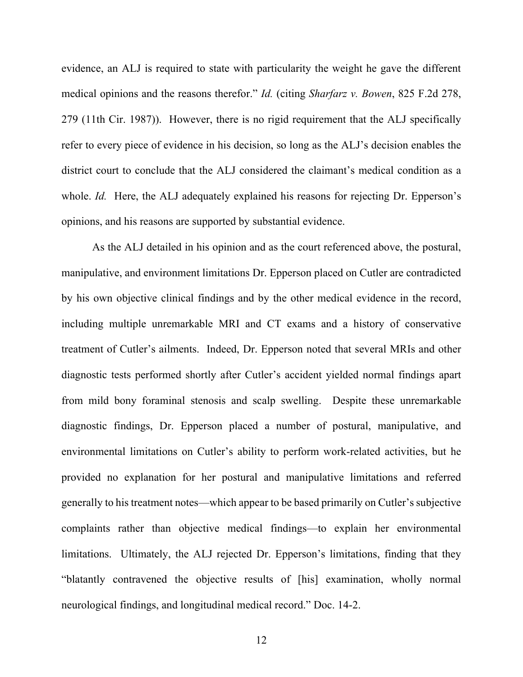evidence, an ALJ is required to state with particularity the weight he gave the different medical opinions and the reasons therefor." *Id.* (citing *Sharfarz v. Bowen*, 825 F.2d 278, 279 (11th Cir. 1987)). However, there is no rigid requirement that the ALJ specifically refer to every piece of evidence in his decision, so long as the ALJ's decision enables the district court to conclude that the ALJ considered the claimant's medical condition as a whole. *Id.* Here, the ALJ adequately explained his reasons for rejecting Dr. Epperson's opinions, and his reasons are supported by substantial evidence.

As the ALJ detailed in his opinion and as the court referenced above, the postural, manipulative, and environment limitations Dr. Epperson placed on Cutler are contradicted by his own objective clinical findings and by the other medical evidence in the record, including multiple unremarkable MRI and CT exams and a history of conservative treatment of Cutler's ailments. Indeed, Dr. Epperson noted that several MRIs and other diagnostic tests performed shortly after Cutler's accident yielded normal findings apart from mild bony foraminal stenosis and scalp swelling. Despite these unremarkable diagnostic findings, Dr. Epperson placed a number of postural, manipulative, and environmental limitations on Cutler's ability to perform work-related activities, but he provided no explanation for her postural and manipulative limitations and referred generally to his treatment notes—which appear to be based primarily on Cutler's subjective complaints rather than objective medical findings—to explain her environmental limitations. Ultimately, the ALJ rejected Dr. Epperson's limitations, finding that they "blatantly contravened the objective results of [his] examination, wholly normal neurological findings, and longitudinal medical record." Doc. 14-2.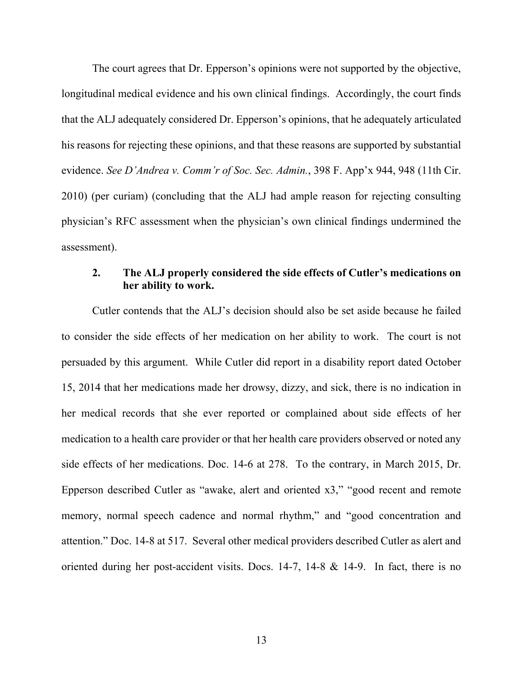The court agrees that Dr. Epperson's opinions were not supported by the objective, longitudinal medical evidence and his own clinical findings. Accordingly, the court finds that the ALJ adequately considered Dr. Epperson's opinions, that he adequately articulated his reasons for rejecting these opinions, and that these reasons are supported by substantial evidence. *See D'Andrea v. Comm'r of Soc. Sec. Admin.*, 398 F. App'x 944, 948 (11th Cir. 2010) (per curiam) (concluding that the ALJ had ample reason for rejecting consulting physician's RFC assessment when the physician's own clinical findings undermined the assessment).

## **2. The ALJ properly considered the side effects of Cutler's medications on her ability to work.**

Cutler contends that the ALJ's decision should also be set aside because he failed to consider the side effects of her medication on her ability to work. The court is not persuaded by this argument. While Cutler did report in a disability report dated October 15, 2014 that her medications made her drowsy, dizzy, and sick, there is no indication in her medical records that she ever reported or complained about side effects of her medication to a health care provider or that her health care providers observed or noted any side effects of her medications. Doc. 14-6 at 278. To the contrary, in March 2015, Dr. Epperson described Cutler as "awake, alert and oriented x3," "good recent and remote memory, normal speech cadence and normal rhythm," and "good concentration and attention." Doc. 14-8 at 517. Several other medical providers described Cutler as alert and oriented during her post-accident visits. Docs. 14-7, 14-8 & 14-9. In fact, there is no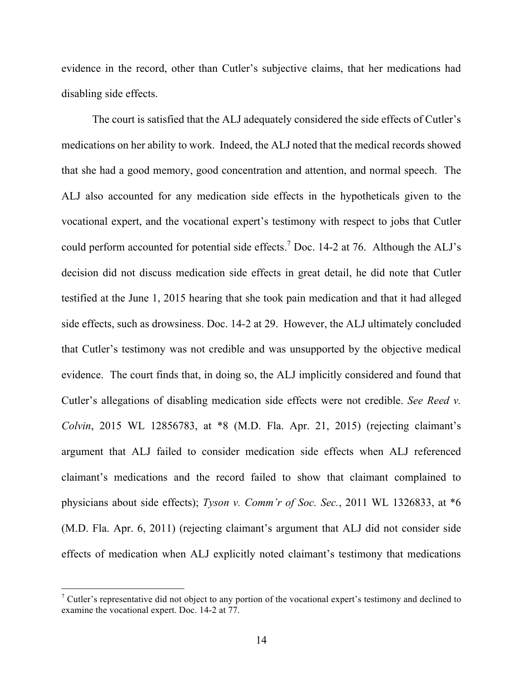evidence in the record, other than Cutler's subjective claims, that her medications had disabling side effects.

The court is satisfied that the ALJ adequately considered the side effects of Cutler's medications on her ability to work. Indeed, the ALJ noted that the medical records showed that she had a good memory, good concentration and attention, and normal speech. The ALJ also accounted for any medication side effects in the hypotheticals given to the vocational expert, and the vocational expert's testimony with respect to jobs that Cutler could perform accounted for potential side effects.<sup>7</sup> Doc. 14-2 at 76. Although the ALJ's decision did not discuss medication side effects in great detail, he did note that Cutler testified at the June 1, 2015 hearing that she took pain medication and that it had alleged side effects, such as drowsiness. Doc. 14-2 at 29. However, the ALJ ultimately concluded that Cutler's testimony was not credible and was unsupported by the objective medical evidence. The court finds that, in doing so, the ALJ implicitly considered and found that Cutler's allegations of disabling medication side effects were not credible. *See Reed v. Colvin*, 2015 WL 12856783, at \*8 (M.D. Fla. Apr. 21, 2015) (rejecting claimant's argument that ALJ failed to consider medication side effects when ALJ referenced claimant's medications and the record failed to show that claimant complained to physicians about side effects); *Tyson v. Comm'r of Soc. Sec.*, 2011 WL 1326833, at \*6 (M.D. Fla. Apr. 6, 2011) (rejecting claimant's argument that ALJ did not consider side effects of medication when ALJ explicitly noted claimant's testimony that medications

<sup>&</sup>lt;sup>7</sup> Cutler's representative did not object to any portion of the vocational expert's testimony and declined to examine the vocational expert. Doc. 14-2 at 77.